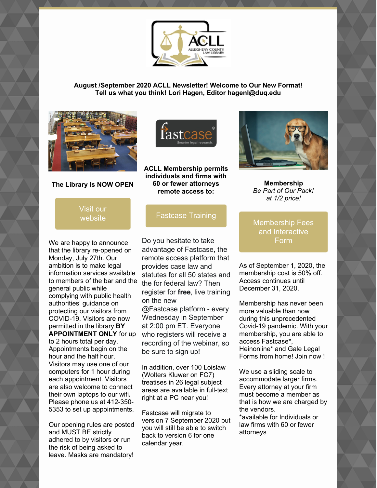

**August /September 2020 ACLL Newsletter! Welcome to Our New Format! Tell us what you think! Lori Hagen, Editor hagenl@duq.edu**



## **The Library Is NOW OPEN**



We are happy to announce that the library re-opened on Monday, July 27th. Our ambition is to make legal information services available to members of the bar and the general public while complying with public health authorities' guidance on protecting our visitors from COVID-19. Visitors are now permitted in the library **BY APPOINTMENT ONLY** for up to 2 hours total per day. Appointments begin on the hour and the half hour. Visitors may use one of our computers for 1 hour during each appointment. Visitors are also welcome to connect their own laptops to our wifi**.** Please phone us at 412-350- 5353 to set up appointments.

Our opening rules are posted and MUST BE strictly adhered to by visitors or run the risk of being asked to leave. Masks are mandatory!



**60 or fewer attorneys remote access to:**

**i**astca

Do you hesitate to take advantage of Fastcase, the remote access platform that provides case law and statutes for all 50 states and the for federal law? Then register for **free**, live training on the new [@Fastcase](https://twitter.com/fastcase) platform - every Wednesday in September at 2:00 pm ET. Everyone

who registers will receive a recording of the webinar, so be sure to sign up!

In addition, over 100 Loislaw (Wolters Kluwer on FC7) treatises in 26 legal subject areas are available in full-text right at a PC near you!

Fastcase will migrate to version 7 September 2020 but you will still be able to switch back to version 6 for one calendar year.



**Membership** *Be Part of Our Pack! at 1/2 price!*

## [Membership](https://www.acllib.org/index.php/membership/) Fees and Interactive Form

As of September 1, 2020, the membership cost is 50% off. Access continues until December 31, 2020.

Membership has never been more valuable than now during this unprecedented Covid-19 pandemic. With your membership, you are able to access Fastcase\*, Heinonline\* and Gale Legal Forms from home! Join now !

We use a sliding scale to accommodate larger firms. Every attorney at your firm must become a member as that is how we are charged by the vendors.

\*available for Individuals or law firms with 60 or fewer attorneys